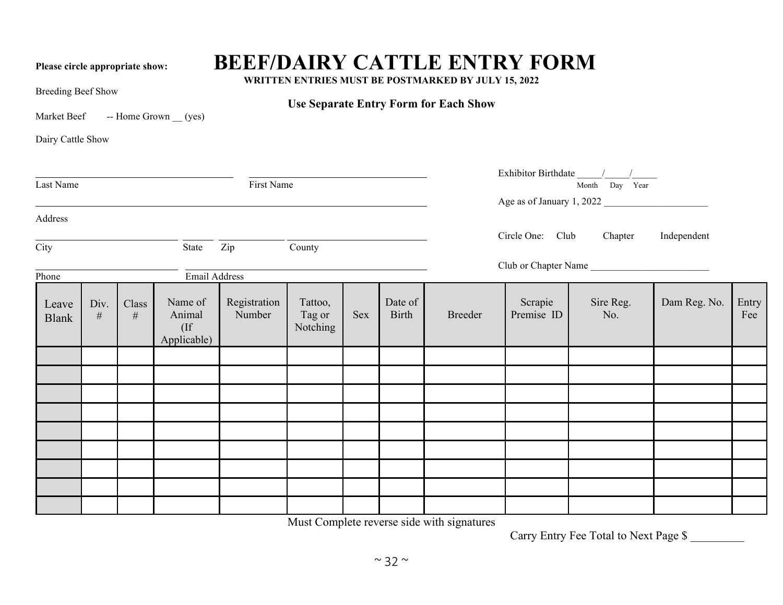## Please circle appropriate show: **BEEF/DAIRY CATTLE ENTRY FORM**

**WRITTEN ENTRIES MUST BE POSTMARKED BY JULY 15, 2022**

**Use Separate Entry Form for Each Show**

Breeding Beef Show

Market Beef -- Home Grown (yes)

Dairy Cattle Show

| First Name<br>Last Name    |              |               |                                            |                        |                               |     |                  |                           |                                         | Month Day Year       |              |              |
|----------------------------|--------------|---------------|--------------------------------------------|------------------------|-------------------------------|-----|------------------|---------------------------|-----------------------------------------|----------------------|--------------|--------------|
|                            |              |               |                                            |                        |                               |     |                  | Age as of January 1, 2022 |                                         |                      |              |              |
| Address                    |              |               |                                            |                        |                               |     |                  |                           |                                         |                      |              |              |
| $\overline{\mathrm{City}}$ |              |               | State                                      | County<br>Zip          |                               |     |                  |                           | Circle One: Club Chapter<br>Independent |                      |              |              |
| Phone                      |              |               | <b>Email Address</b>                       |                        |                               |     |                  |                           |                                         | Club or Chapter Name |              |              |
| Leave<br><b>Blank</b>      | Div.<br>$\#$ | Class<br>$\#$ | Name of<br>Animal<br>$($ If<br>Applicable) | Registration<br>Number | Tattoo,<br>Tag or<br>Notching | Sex | Date of<br>Birth | Breeder                   | Scrapie<br>Premise ID                   | Sire Reg.<br>No.     | Dam Reg. No. | Entry<br>Fee |
|                            |              |               |                                            |                        |                               |     |                  |                           |                                         |                      |              |              |
|                            |              |               |                                            |                        |                               |     |                  |                           |                                         |                      |              |              |
|                            |              |               |                                            |                        |                               |     |                  |                           |                                         |                      |              |              |
|                            |              |               |                                            |                        |                               |     |                  |                           |                                         |                      |              |              |
|                            |              |               |                                            |                        |                               |     |                  |                           |                                         |                      |              |              |
|                            |              |               |                                            |                        |                               |     |                  |                           |                                         |                      |              |              |
|                            |              |               |                                            |                        |                               |     |                  |                           |                                         |                      |              |              |
|                            |              |               |                                            |                        |                               |     |                  |                           |                                         |                      |              |              |
|                            |              |               |                                            |                        |                               |     |                  |                           |                                         |                      |              |              |

Must Complete reverse side with signatures

Carry Entry Fee Total to Next Page \$ \_\_\_\_\_\_\_\_\_